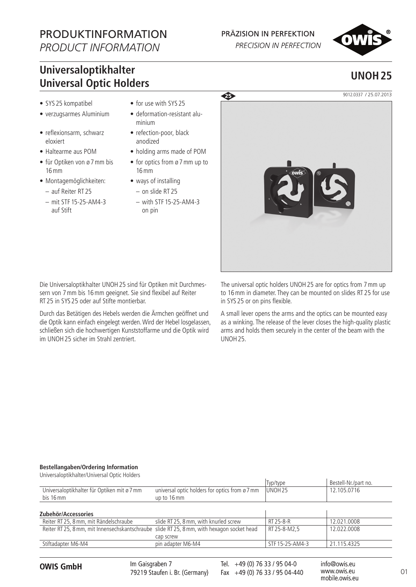# PRODUKTINFORMATION

*PRODUCT INFORMATION*

## PRÄZISION IN PERFEKTION

PRECISION IN PERFECTION

## **Universaloptikhalter Universal Optic Holders UNOH25**

- SYS 25 kompatibel
- verzugsarmes Aluminium
- reflexionsarm, schwarz eloxiert
- • Haltearme aus POM
- für Optiken von ø 7 mm bis 16mm
- • Montagemöglichkeiten:
	- auf Reiter RT 25
	- – mit STF 15-25-AM4-3 auf Stift
- for use with SYS 25
- deformation-resistant aluminium
- refection-poor, black anodized
- • holding arms made of POM
- for optics from ø 7 mm up to 16mm
- ways of installing
	- – on slide RT 25  $-$  with STF 15-25-AM4-3 on pin



Die Universaloptikhalter UNOH25 sind für Optiken mit Durchmessern von 7mm bis 16mm geeignet. Sie sind flexibel auf Reiter RT 25 in SYS 25 oder auf Stifte montierbar.

Durch das Betätigen des Hebels werden die Ärmchen geöffnet und die Optik kann einfach eingelegt werden.Wird der Hebel losgelassen, schließen sich die hochwertigen Kunststoffarme und die Optik wird im UNOH25 sicher im Strahl zentriert.

The universal optic holders UNOH25 are for optics from 7mm up to 16mm in diameter. They can be mounted on slides RT 25 for use in SYS 25 or on pins flexible.

A small lever opens the arms and the optics can be mounted easy as a winking. The release of the lever closes the high-quality plastic arms and holds them securely in the center of the beam with the UNOH25.

#### **Bestellangaben/Ordering Information**

Universaloptikhalter/Universal Optic Holders Typ/type Bestell-Nr./part no.<br>
UNOH 25 12.105.0716 Universaloptikhalter für Optiken mit ø 7mm bis 16mm universal optic holders for optics from ø 7mm up to 16mm 12.105.0716 **Zubehör/Accessories** Reiter RT 25, 8 mm, mit Rändelschraube slide RT 25, 8 mm, with knurled screw RT 25-8-R 12.021.0008 Reiter RT 25, 8mm, mit Innensechskantschraube slide RT 25, 8mm, with hexagon socket head cap screw RT 25-8-M2.5 12.022.0008 Stiftadapter M6-M4 **pin adapter M6-M4** STF 15-25-AM4-3 21.115.4325

O1 **OWIS GmbH** info@owis.eu Fax +49 (0) 76 33 / 95 04-440 Im Gaisgraben 7 79219 Staufen i. Br. (Germany)

Tel. +49 (0) 76 33 / 95 04-0